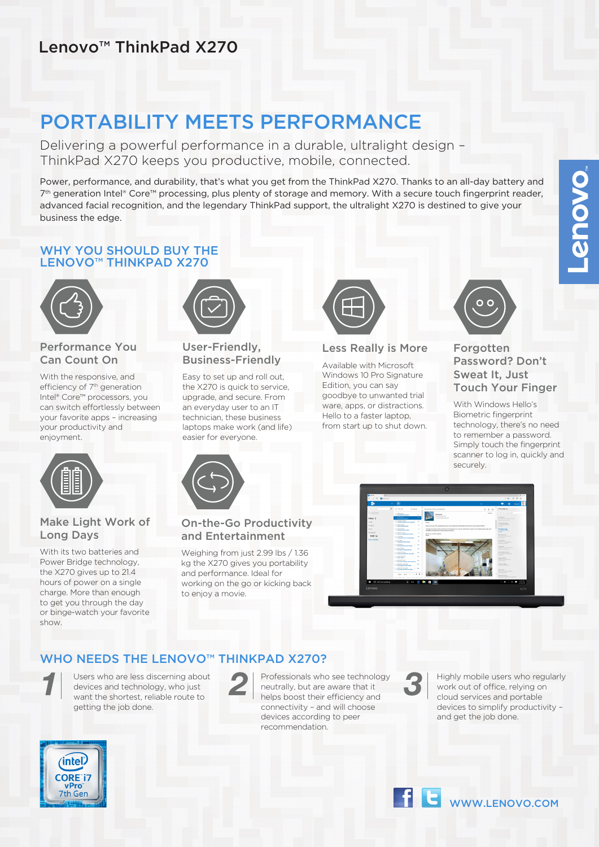## Lenovo™ ThinkPad X270

# PORTABILITY MEETS PERFORMANCE

Delivering a powerful performance in a durable, ultralight design – ThinkPad X270 keeps you productive, mobile, connected.

Power, performance, and durability, that's what you get from the ThinkPad X270. Thanks to an all-day battery and 7<sup>th</sup> generation Intel® Core™ processing, plus plenty of storage and memory. With a secure touch fingerprint reader, advanced facial recognition, and the legendary ThinkPad support, the ultralight X270 is destined to give your business the edge.

### WHY YOU SHOULD BUY THE LENOVO™ THINKPAD X270



### Performance You Can Count On

With the responsive, and efficiency of 7<sup>th</sup> generation Intel® Core™ processors, you can switch effortlessly between your favorite apps – increasing your productivity and enjoyment.

Make Light Work of

With its two batteries and Power Bridge technology, the X270 gives up to 21.4 hours of power on a single charge. More than enough to get you through the day or binge-watch your favorite

Long Days



### User-Friendly, Business-Friendly

Easy to set up and roll out, the X270 is quick to service, upgrade, and secure. From an everyday user to an IT technician, these business laptops make work (and life) easier for everyone.



### Less Really is More

Available with Microsoft Windows 10 Pro Signature Edition, you can say goodbye to unwanted trial ware, apps, or distractions. Hello to a faster laptop, from start up to shut down.



### **Forgotten** Password? Don't Sweat It, Just Touch Your Finger

With Windows Hello's Biometric fingerprint technology, there's no need to remember a password. Simply touch the fingerprint scanner to log in, quickly and securely.



### On-the-Go Productivity and Entertainment

Weighing from just 2.99 lbs / 1.36 kg the X270 gives you portability and performance. Ideal for working on the go or kicking back to enjoy a movie.



## WHO NFFDS THE LENOVO™ THINKPAD X270?

show.

Users who are less discerning about devices and technology, who just want the shortest, reliable route to getting the job done.



Professionals who see technology neutrally, but are aware that it helps boost their efficiency and connectivity – and will choose devices according to peer recommendation.



Highly mobile users who regularly work out of office, relying on cloud services and portable devices to simplify productivity – and get the job done.